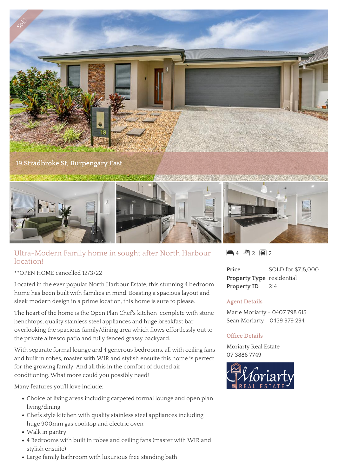

## Ultra-Modern Family home in sought after North Harbour location!

\*\*OPEN HOME cancelled 12/3/22

Located in the ever popular North Harbour Estate, this stunning 4 bedroom home has been built with families in mind. Boasting a spacious layout and sleek modern design in a prime location, this home is sure to please.

The heart of the home is the Open Plan Chef's kitchen complete with stone benchtops, quality stainless steel appliances and huge breakfast bar overlooking the spacious family/dining area which flows effortlessly out to the private alfresco patio and fully fenced grassy backyard.

With separate formal lounge and 4 generous bedrooms, all with ceiling fans and built in robes, master with WIR and stylish ensuite this home is perfect for the growing family. And all this in the comfort of ducted airconditioning. What more could you possibly need!

Many features you'll love include:-

- Choice of living areas including carpeted formal lounge and open plan living/dining
- Chefs style kitchen with quality stainless steel appliances including huge 900mm gas cooktop and electric oven
- Walk in pantry
- 4 Bedrooms with built in robes and ceiling fans (master with WIR and stylish ensuite)
- Large family bathroom with luxurious free standing bath

 $\mathbf{4} \cdot \mathbf{1}$  2 闸 2

**Price** SOLD for \$715,000 **Property Type** residential **Property ID** 214

## **Agent Details**

Marie Moriarty - 0407 798 615 Sean Moriarty - 0439 979 294

## **Office Details**

Moriarty Real Estate 07 3886 7749